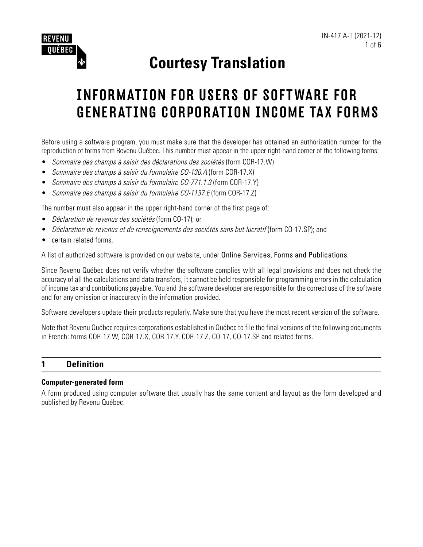

# **Courtesy Translation**

# INFORMATION FOR USERS OF SOFTWARE FOR GENERATING CORPORATION INCOME TAX FORMS

Before using a software program, you must make sure that the developer has obtained an authorization number for the reproduction of forms from Revenu Québec. This number must appear in the upper right-hand corner of the following forms:

- Sommaire des champs à saisir des déclarations des sociétés (form COR-17.W)
- Sommaire des champs à saisir du formulaire CO-130.A (form COR-17.X)
- Sommaire des champs à saisir du formulaire CO-771.1.3 (form COR-17.Y)
- Sommaire des champs à saisir du formulaire CO-1137.E (form COR-17.Z)

The number must also appear in the upper right-hand corner of the first page of:

- Déclaration de revenus des sociétés (form CO-17); or
- Déclaration de revenus et de renseignements des sociétés sans but lucratif (form CO-17.SP); and
- certain related forms.

A list of authorized software is provided on our website, under Online Services, Forms and Publications.

Since Revenu Québec does not verify whether the software complies with all legal provisions and does not check the accuracy of all the calculations and data transfers, it cannot be held responsible for programming errors in the calculation of income tax and contributions payable. You and the software developer are responsible for the correct use of the software and for any omission or inaccuracy in the information provided.

Software developers update their products regularly. Make sure that you have the most recent version of the software.

Note that Revenu Québec requires corporations established in Québec to file the final versions of the following documents in French: forms COR-17.W, COR-17.X, COR-17.Y, COR-17.Z, CO-17, CO-17.SP and related forms.

### **1 Definition**

#### **Computer-generated form**

A form produced using computer software that usually has the same content and layout as the form developed and published by Revenu Québec.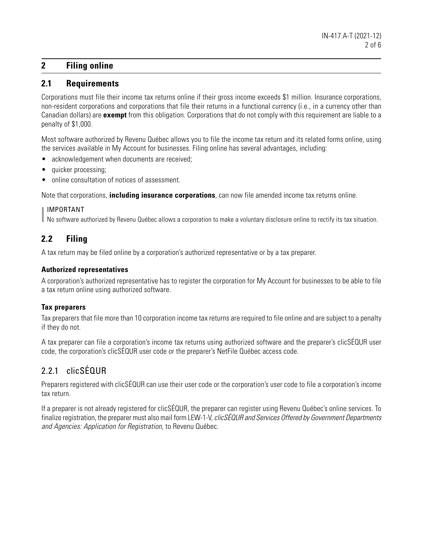# **2 Filing online**

#### **2.1 Requirements**

Corporations must file their income tax returns online if their gross income exceeds \$1 million. Insurance corporations, non-resident corporations and corporations that file their returns in a functional currency (i.e., in a currency other than Canadian dollars) are **exempt** from this obligation. Corporations that do not comply with this requirement are liable to a penalty of \$1,000.

Most software authorized by Revenu Québec allows you to file the income tax return and its related forms online, using the services available in My Account for businesses. Filing online has several advantages, including:

- acknowledgement when documents are received;
- quicker processing;
- online consultation of notices of assessment.

Note that corporations, **including insurance corporations**, can now file amended income tax returns online.

#### IMPORTANT

No software authorized by Revenu Québec allows a corporation to make a voluntary disclosure online to rectify its tax situation.

# **2.2 Filing**

A tax return may be filed online by a corporation's authorized representative or by a tax preparer.

#### **Authorized representatives**

A corporation's authorized representative has to register the corporation for My Account for businesses to be able to file a tax return online using authorized software.

#### **Tax preparers**

Tax preparers that file more than 10 corporation income tax returns are required to file online and are subject to a penalty if they do not.

A tax preparer can file a corporation's income tax returns using authorized software and the preparer's clicSÉQUR user code, the corporation's clicSÉQUR user code or the preparer's NetFile Québec access code.

# 2.2.1 clicSÉQUR

Preparers registered with clicSÉQUR can use their user code or the corporation's user code to file a corporation's income tax return.

If a preparer is not already registered for clicSÉQUR, the preparer can register using Revenu Québec's online services. To finalize registration, the preparer must also mail form LEW-1-V, clicSÉQUR and Services Offered by Government Departments and Agencies: Application for Registration, to Revenu Québec.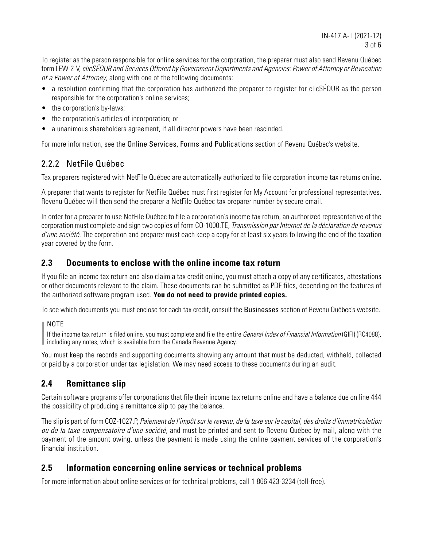To register as the person responsible for online services for the corporation, the preparer must also send Revenu Québec form LEW-2-V, clicSÉQUR and Services Offered by Government Departments and Agencies: Power of Attorney or Revocation of a Power of Attorney, along with one of the following documents:

- a resolution confirming that the corporation has authorized the preparer to register for clicSÉQUR as the person responsible for the corporation's online services;
- the corporation's by-laws;
- the corporation's articles of incorporation; or
- a unanimous shareholders agreement, if all director powers have been rescinded.

For more information, see the Online Services, Forms and Publications section of Revenu Québec's website.

# 2.2.2 NetFile Québec

Tax preparers registered with NetFile Québec are automatically authorized to file corporation income tax returns online.

A preparer that wants to register for NetFile Québec must first register for My Account for professional representatives. Revenu Québec will then send the preparer a NetFile Québec tax preparer number by secure email.

In order for a preparer to use NetFile Québec to file a corporation's income tax return, an authorized representative of the corporation must complete and sign two copies of form CO-1000.TE, Transmission par Internet de la déclaration de revenus d'une société. The corporation and preparer must each keep a copy for at least six years following the end of the taxation year covered by the form.

## **2.3 Documents to enclose with the online income tax return**

If you file an income tax return and also claim a tax credit online, you must attach a copy of any certificates, attestations or other documents relevant to the claim. These documents can be submitted as PDF files, depending on the features of the authorized software program used. **You do not need to provide printed copies.**

To see which documents you must enclose for each tax credit, consult the Businesses section of Revenu Québec's website.

#### NOTE

If the income tax return is filed online, you must complete and file the entire *General Index of Financial Information* (GIFI) (RC4088), including any notes, which is available from the Canada Revenue Agency.

You must keep the records and supporting documents showing any amount that must be deducted, withheld, collected or paid by a corporation under tax legislation. We may need access to these documents during an audit.

# **2.4 Remittance slip**

Certain software programs offer corporations that file their income tax returns online and have a balance due on line 444 the possibility of producing a remittance slip to pay the balance.

The slip is part of form COZ-1027.P, Paiement de l'impôt sur le revenu, de la taxe sur le capital, des droits d'immatriculation ou de la taxe compensatoire d'une société, and must be printed and sent to Revenu Québec by mail, along with the payment of the amount owing, unless the payment is made using the online payment services of the corporation's financial institution.

## **2.5 Information concerning online services or technical problems**

For more information about online services or for technical problems, call 1 866 423-3234 (toll-free).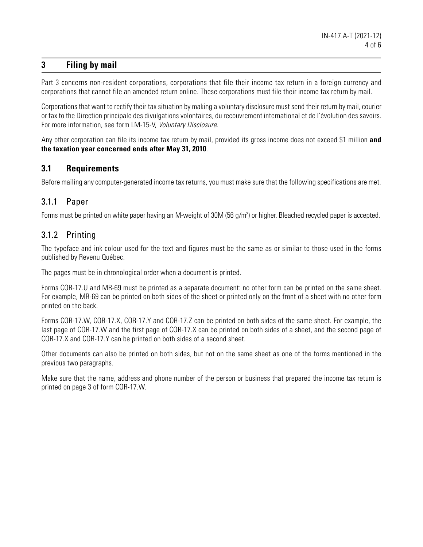## **3 Filing by mail**

Part 3 concerns non-resident corporations, corporations that file their income tax return in a foreign currency and corporations that cannot file an amended return online. These corporations must file their income tax return by mail.

Corporations that want to rectify their tax situation by making a voluntary disclosure must send their return by mail, courier or fax to the Direction principale des divulgations volontaires, du recouvrement international et de l'évolution des savoirs. For more information, see form LM-15-V, Voluntary Disclosure.

Any other corporation can file its income tax return by mail, provided its gross income does not exceed \$1 million **and the taxation year concerned ends after May 31, 2010**.

## **3.1 Requirements**

Before mailing any computer-generated income tax returns, you must make sure that the following specifications are met.

# 3.1.1 Paper

Forms must be printed on white paper having an M-weight of 30M (56 g/m<sup>2</sup>) or higher. Bleached recycled paper is accepted.

# 3.1.2 Printing

The typeface and ink colour used for the text and figures must be the same as or similar to those used in the forms published by Revenu Québec.

The pages must be in chronological order when a document is printed.

Forms COR-17.U and MR-69 must be printed as a separate document: no other form can be printed on the same sheet. For example, MR-69 can be printed on both sides of the sheet or printed only on the front of a sheet with no other form printed on the back.

Forms COR-17.W, COR-17.X, COR-17.Y and COR-17.Z can be printed on both sides of the same sheet. For example, the last page of COR-17.W and the first page of COR-17.X can be printed on both sides of a sheet, and the second page of COR-17.X and COR-17.Y can be printed on both sides of a second sheet.

Other documents can also be printed on both sides, but not on the same sheet as one of the forms mentioned in the previous two paragraphs.

Make sure that the name, address and phone number of the person or business that prepared the income tax return is printed on page 3 of form COR-17.W.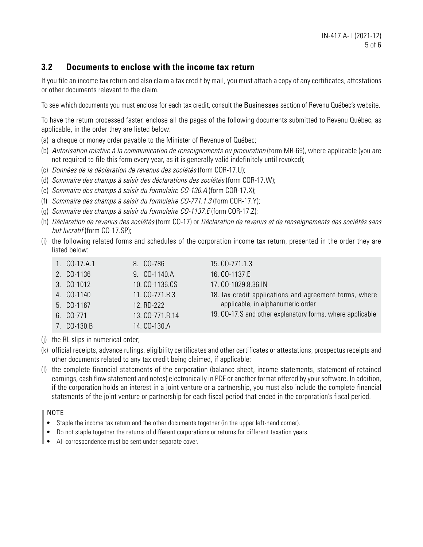## **3.2 Documents to enclose with the income tax return**

If you file an income tax return and also claim a tax credit by mail, you must attach a copy of any certificates, attestations or other documents relevant to the claim.

To see which documents you must enclose for each tax credit, consult the Businesses section of Revenu Québec's website.

To have the return processed faster, enclose all the pages of the following documents submitted to Revenu Québec, as applicable, in the order they are listed below:

- (a) a cheque or money order payable to the Minister of Revenue of Québec;
- (b) Autorisation relative à la communication de renseignements ou procuration (form MR-69), where applicable (you are not required to file this form every year, as it is generally valid indefinitely until revoked);
- (c) Données de la déclaration de revenus des sociétés (form COR-17.U);
- (d) Sommaire des champs à saisir des déclarations des sociétés (form COR-17.W);
- (e) Sommaire des champs à saisir du formulaire CO-130.A (form COR-17.X);
- (f) Sommaire des champs à saisir du formulaire CO-771.1.3 (form COR-17.Y);
- (g) Sommaire des champs à saisir du formulaire CO-1137.E (form COR-17.Z);
- (h) Déclaration de revenus des sociétés (form CO-17) or Déclaration de revenus et de renseignements des sociétés sans but lucratif (form CO-17.SP);
- (i) the following related forms and schedules of the corporation income tax return, presented in the order they are listed below:

| 1. CO-17.A.1 | 8. CO-786       | 15. CO-771.1.3                                            |
|--------------|-----------------|-----------------------------------------------------------|
| 2. CO-1136   | 9. CO-1140.A    | 16. CO-1137.E                                             |
| 3. CO-1012   | 10. CO-1136.CS  | 17. CO-1029.8.36.IN                                       |
| 4. CO-1140   | 11. CO-771.R.3  | 18. Tax credit applications and agreement forms, where    |
| 5. CO-1167   | 12. RD-222      | applicable, in alphanumeric order                         |
| 6. CO-771    | 13. CO-771.R.14 | 19. CO-17.S and other explanatory forms, where applicable |
| 7. CO-130.B  | 14. CO-130.A    |                                                           |

- (j) the RL slips in numerical order;
- (k) official receipts, advance rulings, eligibility certificates and other certificates or attestations, prospectus receipts and other documents related to any tax credit being claimed, if applicable;
- (l) the complete financial statements of the corporation (balance sheet, income statements, statement of retained earnings, cash flow statement and notes) electronically in PDF or another format offered by your software. In addition, if the corporation holds an interest in a joint venture or a partnership, you must also include the complete financial statements of the joint venture or partnership for each fiscal period that ended in the corporation's fiscal period.

#### NOTE

- Staple the income tax return and the other documents together (in the upper left-hand corner).
- Do not staple together the returns of different corporations or returns for different taxation years.
- All correspondence must be sent under separate cover.